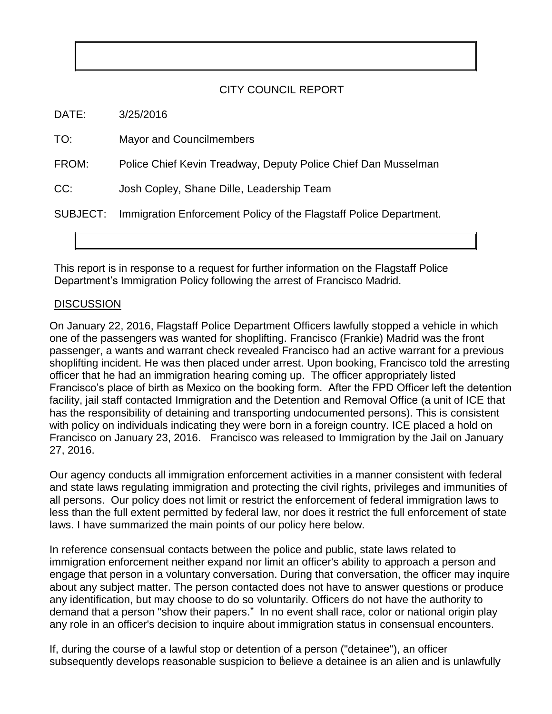## CITY COUNCIL REPORT

DATE: 3/25/2016

TO: Mayor and Councilmembers

FROM: Police Chief Kevin Treadway, Deputy Police Chief Dan Musselman

CC: Josh Copley, Shane Dille, Leadership Team

SUBJECT: Immigration Enforcement Policy of the Flagstaff Police Department.

This report is in response to a request for further information on the Flagstaff Police Department's Immigration Policy following the arrest of Francisco Madrid.

## **DISCUSSION**

On January 22, 2016, Flagstaff Police Department Officers lawfully stopped a vehicle in which one of the passengers was wanted for shoplifting. Francisco (Frankie) Madrid was the front passenger, a wants and warrant check revealed Francisco had an active warrant for a previous shoplifting incident. He was then placed under arrest. Upon booking, Francisco told the arresting officer that he had an immigration hearing coming up. The officer appropriately listed Francisco's place of birth as Mexico on the booking form. After the FPD Officer left the detention facility, jail staff contacted Immigration and the Detention and Removal Office (a unit of ICE that has the responsibility of detaining and transporting undocumented persons). This is consistent with policy on individuals indicating they were born in a foreign country. ICE placed a hold on Francisco on January 23, 2016. Francisco was released to Immigration by the Jail on January 27, 2016.

Our agency conducts all immigration enforcement activities in a manner consistent with federal and state laws regulating immigration and protecting the civil rights, privileges and immunities of all persons. Our policy does not limit or restrict the enforcement of federal immigration laws to less than the full extent permitted by federal law, nor does it restrict the full enforcement of state laws. I have summarized the main points of our policy here below.

In reference consensual contacts between the police and public, state laws related to immigration enforcement neither expand nor limit an officer's ability to approach a person and engage that person in a voluntary conversation. During that conversation, the officer may inquire about any subject matter. The person contacted does not have to answer questions or produce any identification, but may choose to do so voluntarily. Officers do not have the authority to demand that a person "show their papers." In no event shall race, color or national origin play any role in an officer's decision to inquire about immigration status in consensual encounters.

subsequently develops reasonable suspicion to believe a detainee is an alien and is unlawfully If, during the course of a lawful stop or detention of a person ("detainee"), an officer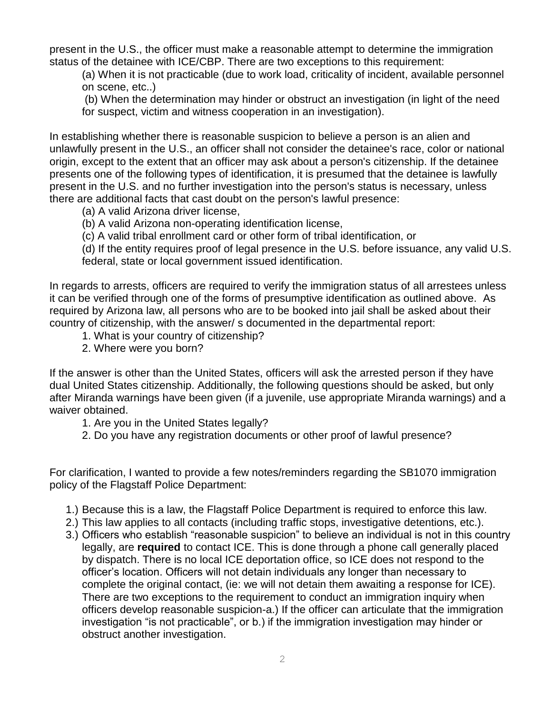present in the U.S., the officer must make a reasonable attempt to determine the immigration status of the detainee with ICE/CBP. There are two exceptions to this requirement:

(a) When it is not practicable (due to work load, criticality of incident, available personnel on scene, etc..)

(b) When the determination may hinder or obstruct an investigation (in light of the need for suspect, victim and witness cooperation in an investigation).

In establishing whether there is reasonable suspicion to believe a person is an alien and unlawfully present in the U.S., an officer shall not consider the detainee's race, color or national origin, except to the extent that an officer may ask about a person's citizenship. If the detainee presents one of the following types of identification, it is presumed that the detainee is lawfully present in the U.S. and no further investigation into the person's status is necessary, unless there are additional facts that cast doubt on the person's lawful presence:

(a) A valid Arizona driver license,

(b) A valid Arizona non-operating identification license,

(c) A valid tribal enrollment card or other form of tribal identification, or

(d) If the entity requires proof of legal presence in the U.S. before issuance, any valid U.S. federal, state or local government issued identification.

In regards to arrests, officers are required to verify the immigration status of all arrestees unless it can be verified through one of the forms of presumptive identification as outlined above. As required by Arizona law, all persons who are to be booked into jail shall be asked about their country of citizenship, with the answer/ s documented in the departmental report:

- 1. What is your country of citizenship?
- 2. Where were you born?

If the answer is other than the United States, officers will ask the arrested person if they have dual United States citizenship. Additionally, the following questions should be asked, but only after Miranda warnings have been given (if a juvenile, use appropriate Miranda warnings) and a waiver obtained.

- 1. Are you in the United States legally?
- 2. Do you have any registration documents or other proof of lawful presence?

For clarification, I wanted to provide a few notes/reminders regarding the SB1070 immigration policy of the Flagstaff Police Department:

- 1.) Because this is a law, the Flagstaff Police Department is required to enforce this law.
- 2.) This law applies to all contacts (including traffic stops, investigative detentions, etc.).
- 3.) Officers who establish "reasonable suspicion" to believe an individual is not in this country legally, are **required** to contact ICE. This is done through a phone call generally placed by dispatch. There is no local ICE deportation office, so ICE does not respond to the officer's location. Officers will not detain individuals any longer than necessary to complete the original contact, (ie: we will not detain them awaiting a response for ICE). There are two exceptions to the requirement to conduct an immigration inquiry when officers develop reasonable suspicion-a.) If the officer can articulate that the immigration investigation "is not practicable", or b.) if the immigration investigation may hinder or obstruct another investigation.